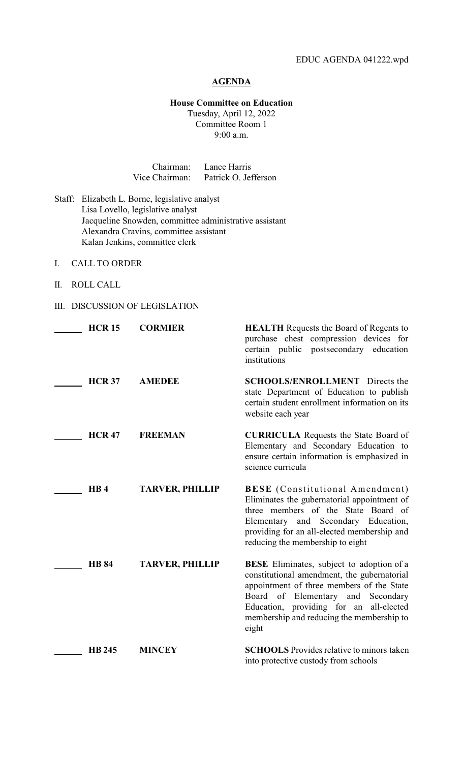## **AGENDA**

## **House Committee on Education**

Tuesday, April 12, 2022 Committee Room 1 9:00 a.m.

| Chairman:      | Lance Harris         |
|----------------|----------------------|
| Vice Chairman: | Patrick O. Jefferson |

- Staff: Elizabeth L. Borne, legislative analyst Lisa Lovello, legislative analyst Jacqueline Snowden, committee administrative assistant Alexandra Cravins, committee assistant Kalan Jenkins, committee clerk
- I. CALL TO ORDER
- II. ROLL CALL
- III. DISCUSSION OF LEGISLATION

| <b>HCR 15</b> | <b>CORMIER</b>         | <b>HEALTH</b> Requests the Board of Regents to<br>purchase chest compression devices for<br>certain public postsecondary education<br>institutions                                                                                                                                    |
|---------------|------------------------|---------------------------------------------------------------------------------------------------------------------------------------------------------------------------------------------------------------------------------------------------------------------------------------|
| <b>HCR 37</b> | <b>AMEDEE</b>          | <b>SCHOOLS/ENROLLMENT</b> Directs the<br>state Department of Education to publish<br>certain student enrollment information on its<br>website each year                                                                                                                               |
| <b>HCR 47</b> | <b>FREEMAN</b>         | <b>CURRICULA</b> Requests the State Board of<br>Elementary and Secondary Education to<br>ensure certain information is emphasized in<br>science curricula                                                                                                                             |
| HB4           | <b>TARVER, PHILLIP</b> | <b>BESE</b> (Constitutional Amendment)<br>Eliminates the gubernatorial appointment of<br>three members of the State Board of<br>Elementary and Secondary Education,<br>providing for an all-elected membership and<br>reducing the membership to eight                                |
| <b>HB 84</b>  | <b>TARVER, PHILLIP</b> | <b>BESE</b> Eliminates, subject to adoption of a<br>constitutional amendment, the gubernatorial<br>appointment of three members of the State<br>of Elementary and Secondary<br>Board<br>Education, providing for an all-elected<br>membership and reducing the membership to<br>eight |
| <b>HB 245</b> | <b>MINCEY</b>          | <b>SCHOOLS</b> Provides relative to minors taken<br>into protective custody from schools                                                                                                                                                                                              |